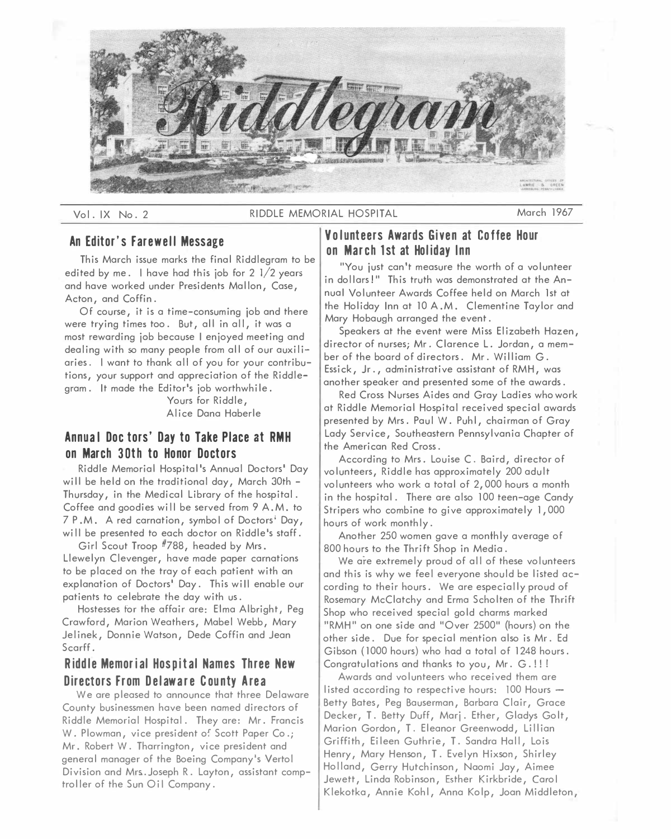

#### Vol. IX No. 2 RIDDLE MEMORIAL HOSPITAL March 1967

#### **An Editor's Farewell Message**

This March issue marks the final Riddlegram to be edited by me. I have had this job for  $2 \frac{1}{2}$  years and have worked under Presidents Mallon, Case, Acton, and Coffin.

Of course, it is a time-consuming job and there were trying times too. But, all in all, it was a most rewarding job because I enjoyed meeting and dealing with so many people from all of our auxiliaries. I want to thank all of you for your contributions, your support and appreciation of the Riddlegram. It made the Editor's job worthwhile.

> Yours for Riddle, Alice Dana Haberle

## **Annua I Doc tors' Day to Take Place at RMH on March 30th to Honor Doctors**

Riddle Memorial Hospital's Annual Doctors' Day will be held on the traditional day, March 30th -Thursday, in the Medical Library of the hospital. Coffee and goodies will be served from 9 A.M. to 7 P.M. A red carnation, symbol of Doctors' Day, will be presented to each doctor on Riddle's staff.

Girl Scout Troop #788, headed by Mrs. Llewelyn Clevenger, have made paper carnations to be placed on the tray of each patient with an explanation of Doctors' Day. This will enable our patients to celebrate the day with us.

Hostesses for the affair are: Elma Albright, Peg Crawford, Marion Weathers, Mabel Webb, Mary Jelinek, Donnie Watson, Dede Coffin and Jean Scarff.

## **Riddle Memorial Hospital Names Three New Directors From Delaware County Area**

We are pleased to announce that three Delaware County businessmen have been named directors of Riddle Memorial Hospital. They are: Mr. Francis W. Plowman, vice president of Scott Paper Co.; Mr. Robert W. Tharrington, vice president and general manager of the Boeing Company's Vertol Division and Mrs. Joseph R. Layton, assistant comptroller of the Sun Oil Company.

### **Volunteers Awards Given at Coffee Hour on March 1st at Holiday Inn**

"You just can't measure the worth of a volunteer in dollars!" This truth was demonstrated at the Annual Volunteer Awards Coffee held on March 1st at the Holiday Inn at 10 A.M. Clementine Taylor and Mary Hobaugh arranged the event.

Speakers at the event were Miss Elizabeth Hazen, director of nurses; Mr. Clarence L. Jordan, a member of the board of directors. Mr. William G. Essick, Jr., administrative assistant of RMH, was another speaker and presented some of the awards.

Red Cross Nurses Aides and Gray Ladies who work at Riddle Memorial Hospital received special awards presented by Mrs. Paul W. Puhl, chairman of Gray Lady Service, Southeastern Pennsylvania Chapter of the American Red Cross.

According to Mrs. Louise C. Baird, director of volunteers, Riddle has approximately 200 adult volunteers who work a total of 2,000 hours a month in the hospital. There are also 100 teen-age Candy Stripers who combine to give approximately 1,000 hours of work monthly.

Another 250 women gave a monthly average of 800 hours to the Thrift Shop in Media.

We are extremely proud of all of these volunteers and this is why we feel everyone should be listed according to their hours. We are especially proud of Rosemary McClatchy and Erma Scholten of the Thrift Shop who received special gold charms marked "RMH" on one side and "Over 2500" (hours) on the other side. Due for special mention also is Mr. Ed Gibson (1000 hours) who had a total of 1248 hours. Congratulations and thanks to you, Mr. G.!!!

Awards and volunteers who received them are listed according to respective hours: 100 Hours -Betty Bates, Peg Bauserman, Barbara Clair, Grace Decker, T. Betty Duff, Marj. Ether, Gladys Golt, Marion Gordon, T. Eleanor Greenwodd, Lillian Griffith, Eileen Guthrie, T. Sandra Hall, Lois Henry, Mary Henson, T. Evelyn Hixson, Shirley Holland, Gerry Hutchinson, Naomi Jay, Aimee Jewett, Linda Robinson, Esther Kirkbride, Carol Klekotka, Annie Kohl, Anna Kolp, Joan Middleton,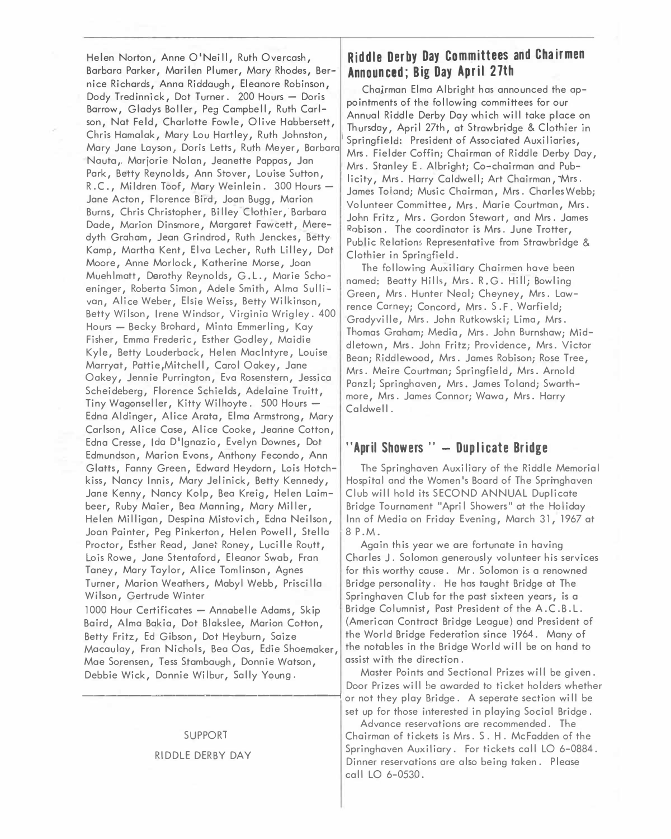Helen Norton, Anne O'Neill, Ruth Overcash, Barbara Parker, Marilen Plumer, Mary Rhodes, Bernice Richards, Anna Riddaugh, Eleanore Robinson, mce Kicharas, Afina Kiaaaugh, Liedhofe Kobinson, Chairman Elma Albright has announced the ap-<br>Dody Tredinnick, Dot Turner. 200 Hours - Doris pointments of the following committees for our Barrow, Gladys Boller, Peg Campbell, Ruth Carlson, Nat Feld, Charlotte Fowle, Olive Habbersett, Thursday, April 27th, at Strawbridge & Clothier in Chris Hamalak, Mary Lou Hartley, Ruth Johnston, \ Robison. The coordinator is Mrs. June Trotter, dyth Graham, Jean Grindrod, Ruth Jenckes, Betty Public Relations Representative from Strawbridge & Kamp, Martha Kent, Elva Lecher, Ruth Lilley, DotClothier in Springfield. Moore, Anne Morlock, Katherine Morse, Joan The following Auxiliary Chairmen have been Muehlmatt, Derothy Reynolds, G.L., Marie Schoeninger, Roberta Simon, Adele Smith, Alma Sulli- Green, Mrs. Hunter Neal; Cheyney, Mrs. Lawvan, Alice Weber, Elsie Weiss, Betty Wilkinson, Valley Milson, Irene Windsor, Virginia Wrigley. 400<br>Hours — Becky Brohard, Minta Emmerling, Kay<br>Fisher, Emma Frederic, Esther Godley, Maidie<br>Kyle, Betty Louderback, Helen MacIntyre, Louise<br>Kyle, Betty Louderback, Helen Mac Marryat, Pattie,Mitchell, Carol Oakey, Jane<br>
Oakey, Jennie Purrington, Eva Rosenstern, Jessica<br>
Scheideberg, Florence Schields, Adelaine Truitt,<br>
Tiny Wagonseller, Kitty Wilhoyte. 500 Hours —<br>
Edna Aldinger, Alice Arata, E Carlson, Alice Case, Alice Cooke, Jeanne Cotton, Edna Cresse, Ida D'lgnazio, Evelyn Downes, Dot Edmundson, Marion Evons, Anthony Fecondo, Ann Glatts, Fanny Green, Edward Heydorn, Lois Hotchkiss, Nancy Innis, Mary Jelinick, Betty Kennedy, Jane Kenny, Nancy Kolp, Bea Kreig, Helen Laimbeer, Ruby Maier, Bea Manning, Mary Miller, Helen Milligan, Despina Mistovich, Edna Neilson, Joan Painter, Peg Pinkerton, Helen Powell, Stella Proctor, Esther Read, Janet Roney, Lucille Routt, Lois Rowe, Jane Stentaford, Eleanor Swab, Fran Taney, Mary Taylor, Alice Tomlinson, Agnes Turner, Marion Weathers, Mabyl Webb, Priscilla Wilson, Gertrude Winter

1000 Hour Certificates - Annabelle Adams, Skip Baird, Alma Bakia, Dot Blakslee, Marion Cotton, Betty Fritz, Ed Gibson, Dot Heyburn, Saize Macaulay, Fran Nichols, Bea Oas, Edie Shoemaker, Mae Sorensen, Tess Stambaugh, Donnie Watson, Debbie Wick, Donnie Wilbur, Sally Young.

#### SUPPORT

#### RIDDLE DERBY DAY

# **Riddle Derby Day Committees and Chairmen Announced; Big Day April 27th**

Annual Riddle Derby Day which will take place on Springfield: Mary Jane Layson, Doris Letts, Ruth Meyer, Barbara<br>
Mary Jane Layson, Doris Letts, Ruth Meyer, Barbara<br>
Park, Betty Reynolds, Ann Stover, Louise Sulton,<br>
R.C., Mildren Toof, Mary Weinlein. 300 Hours<br>
James Toland; Music Ch

<sup>n</sup>amed: Beatty Hills, Mrs. R.G. Hill; Bowling

### **"April Showers " - Duplicate Bridge**

The Springhaven Auxiliary of the Riddle Memorial Hospital and the Women 's Board of The Springhaven Club will hold its SECOND ANNUAL Duplicate Bridge Tournament "April Showers" at the Holiday Inn of Media on Friday Evening, March 31, 1967 at 8 P.M.

Again this year we are fortunate in having Charles J. Solomon generously volunteer his services for this worthy cause. Mr. Solomon is a renowned Bridge personality. He has taught Bridge at Th<sup>e</sup> Springhaven Club for the past sixteen years, is a Bridge Columnist, Past President of the A.C.B.L. (American Contract Bridge League) and President of <sup>t</sup>he World Bridge Federation since 1964. Many of the notables in the Bridge World will be on hand to assist with the direction.

Master Points and Sectional Prizes will be given. Door Prizes will be awarded to ticket holders whether or not they play Bridge. A seperate section will be set up for those interested in playing Social Bridg<sup>e</sup> .

Advance reservations are recommended. Th<sup>e</sup> Chairman of tickets is Mrs. S. H. McFadden of th<sup>e</sup> Springhaven Auxiliary. For tickets call LO 6-0884. Dinner reservations are also being taken. Please call LO 6-0530.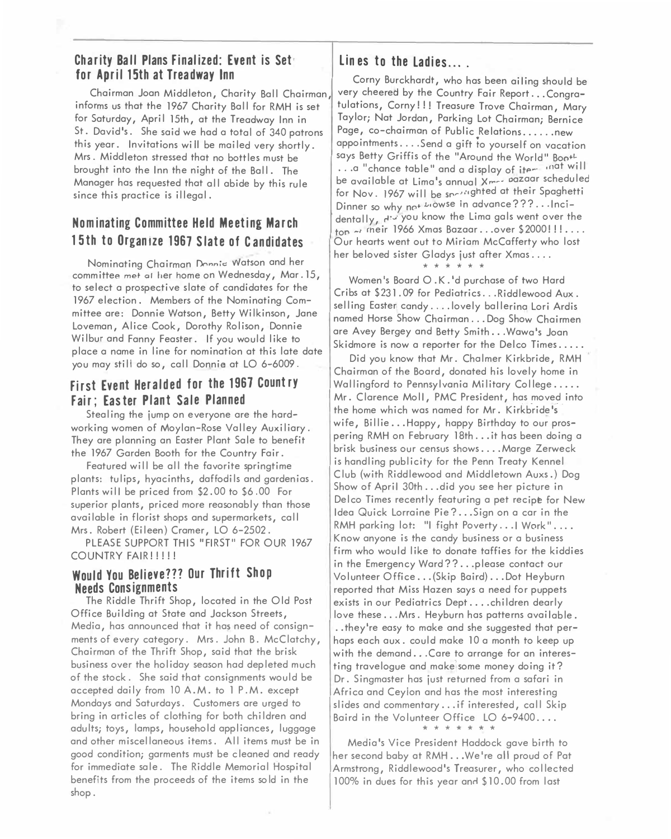## **Charity Ba***ll* **P***l***a***ns F***i***n***a***li***z***ed***: Ev***en***t** *is* **S***e***t· for Apr***il* **15th at** *T***r***e***<sup>a</sup>** *dw***ay I***nn*

Chair*m*an *J*oan Middl*e*ton, Charit*y* Ball Chair*m*an, infor*ms u<sup>s</sup>*that th*e* 1967 Charit*y* Ball for RMH i*s se*<sup>t</sup> for Sat*u*rda*y*, April 15th, at th*e T*r*<sup>e</sup>*adwa*y* Inn in St. David'*s*. Sh*<sup>e</sup>s*aid w*e* had a tota I of 340 patron*<sup>s</sup>* thi*<sup>s</sup>ye*ar. Invitation*s* wi 11 b*e m*ail*e*d v*<sup>e</sup>*<sup>r</sup>*y <sup>s</sup>*hortl*y*. Mr*s*. Middl*e*ton *s*tr*esse*d that no bottl*es mu<sup>s</sup>*t b*<sup>e</sup>* bro*u*ght into th*e* Inn th*e* night of th*e* Ball. *T*h*<sup>e</sup>* Manag*e*r ha*<sup>s</sup>*r*<sup>e</sup>*q*ues*t*e*d that all abid*e* b*y* thi*<sup>s</sup>*r*u*l*<sup>e</sup> <sup>s</sup>*inc*e* thi*<sup>s</sup>*practic*e* i*s* ill*<sup>e</sup>*gal.

# **Nomi***n***ati***n***g Comm***i***tt***ee* **H***eld* **M***ee***t***in***g March 15th to Orga***n***iz***e* **1967 S***l***at***e* **of C <sup>a</sup>***nd***i***d***at***es*

No*m*inating Chair*m*an Dnnn:c Wat*s*on and h*<sup>e</sup>*<sup>r</sup> co*mm*itt*e*e m<>t al h*e*r ho*me* on W*e*dn*e<sup>s</sup>*day, Mar. 15, to *se*l*e*ct a pro*<sup>s</sup>*p*<sup>e</sup>*ctiv*e <sup>s</sup>*lat*e* of candidat*e<sup>s</sup>*for th*<sup>e</sup>* 1967 *e*l*e*ction. M*em*b*<sup>e</sup>*r*<sup>s</sup>*of th*e* No*m*inating Co*<sup>m</sup><sup>m</sup>*itt*ee* ar*<sup>e</sup>*: Donni*e* Wat*s*on, B*e*tt*y* Wilkin*<sup>s</sup>*on, *J*an*<sup>e</sup>* Lov*em*an, Alic*e* Cook, Doroth*y* Rolison, Donni*<sup>e</sup>* Wilb*u*r and Fann*y* F*<sup>e</sup>*a*s*t*e*r. If *y*<sup>o</sup>*u* wo*u*ld lik*e* to plac*<sup>e</sup>*a na*me* in lin*e* for no*m*ination at thi*s* lat*e* dat*<sup>e</sup> <sup>y</sup>*<sup>o</sup>*u m*<sup>a</sup>*y <sup>s</sup>*till do *s*o, call Donnie at LO 6-6009.

# *F***ir***s***t Ev***en***t H***e***ra***lded* **for th***e* **1967 Cou***n***try**  *F***air; Ea***s***t***e***r P***l***a***n***t Sa***le* **P***l***a***nned*

St*e*aling th*e* j*um*p on *<sup>e</sup>*v*e*r*y*on*e* ar*<sup>e</sup>*th*e* hardworking wo*me*n of Mo*y*lan-Ro*<sup>s</sup>e* Vall*ey* A*u*xiliar*y*. *T*h*ey* ar*<sup>e</sup>*planning an Ea*s*t*e*r Plant Sal*e* to b*<sup>e</sup>*n*<sup>e</sup>*fit th*e* 1967 Gard*e*n Booth for th*e* Co*u*ntr*y* Fair.

F*e*at*u*r*<sup>e</sup>*d will b*e* all th*e* favorit*e <sup>s</sup>*pringti*me*  <sup>p</sup>lant*s*: t*u*lip*<sup>s</sup>*, h*y*acinth*<sup>s</sup>*, daffodil*s* and gard*e*nia*s*. Plant*s* wil I b*<sup>e</sup>*pric*e*d fro*m* \$2. 00 to \$6. 00 For *<sup>s</sup>u*p*<sup>e</sup>*rior plant*<sup>s</sup>*, pric*e*d *m*or*e* r*<sup>e</sup>*asonabl*y* than tho*<sup>s</sup><sup>e</sup>* availabl*e* in flori*s*t *s*hop*s* and *<sup>s</sup>u*p*<sup>e</sup>*r*<sup>m</sup>*ark*e*t*s*, call Mr*s*. Rob*e*rt (Eil*ee*n) Cra*me*r, LO 6-2502.

PLEASE SUPPOR*T T*HIS "FIRS*T*" FOR OUR 1967 COUN*T*RY FAIR!!!!!

### **Wou***l***d You B***elie***v***<sup>e</sup>***??? Our Thrift Shop N***eeds* **Co***ns***ig***<sup>n</sup>***m***en***t***<sup>s</sup>*

*T*h*e* Riddl*e T*hrift Shop, locat*e*d in th*e* Old Po*s*<sup>t</sup> Offic*e* B*u*ilding at Stat*e* and *J*ack*s*on Str*ee*t*s*, M*e*dia, ha*<sup>s</sup>*anno*u*nc*<sup>e</sup>*d that it ha\_s n*ee*d of con*s*ign*me*nt*s* of *<sup>e</sup>*v*e*<sup>r</sup>*y* cat*<sup>e</sup>*gor*y*. Mr*s*. John B. McClatch*y*, Chair*m*an of th*e T*hrift Shop, *s*aid that th*e* bri*s*k b*us*in*ess* ov*<sup>e</sup>*r th*e* holida*y se*ason had d*<sup>e</sup>*pl*e*t*e*d *mu*ch of th*e <sup>s</sup>*tock. Sh*e <sup>s</sup>*aid that con*s*ign*me*nt*s* wo*u*ld b*<sup>e</sup>* acc*<sup>e</sup>*pt*e*d dail*y* fro*m* 10 A. M. to 1 P. M. *<sup>e</sup>*xc*<sup>e</sup>*p<sup>t</sup> Monda*y<sup>s</sup>*and Sat*u*rda*y<sup>s</sup>*. C*us*to*me*r*s* ar*e u*rg*<sup>e</sup>*d to bring in articl*e<sup>s</sup>*of clothing for both childr*e*n and ad*u*lt*s*; to*ys*, la*m*p*<sup>s</sup>*, ho*use*hold applianc*es*, l*u*ggag*<sup>e</sup>* and oth*<sup>e</sup>*r *<sup>m</sup>*i*s*c*<sup>e</sup>*llan*<sup>e</sup>*o*us* it*em<sup>s</sup>*. All it*ems mu<sup>s</sup>*t b*e* in good condition; gar*me*nt*s mu<sup>s</sup>*t b*e* cl*<sup>e</sup>*an*<sup>e</sup>*d and r*e*ad*<sup>y</sup>* for i*mme*diat*e <sup>s</sup>*al*<sup>e</sup>*. *T*h*e* Riddl*e* M*em*orial Ho*<sup>s</sup>*pital b*<sup>e</sup>*n*<sup>e</sup>*fit*s* fro*m* th*<sup>e</sup>*proc*ee*d*s* of th*e* it*ems s*o Id in th*<sup>e</sup> <sup>s</sup>*hop.

## **Li***n es* **to th***e* **La***d***i***es* **....**

Corn*y* B*u*rckhardt, who ha*s* b*ee*n ai I ing *s*ho*u*ld b*<sup>e</sup>* <sup>v</sup>*e*<sup>r</sup>*y* ch*ee*r*<sup>e</sup>*d b*y* th*e* Co*u*ntr*y* Fair R*e*port ... Congra<sup>t</sup>*u*lation*<sup>s</sup>*, Corn*y*!!! *T*r*e*a*su*<sup>r</sup>*e T*rov*<sup>e</sup>*Chair*m*an, Mar*<sup>y</sup> <sup>T</sup>*<sup>a</sup>*y*lor; Nat *J*ordan, Parking Lot Chair*m*an; B*e*rnic*<sup>e</sup>* Pag*<sup>e</sup>*, co-chair*m*an of P*u*blic R*e*lation*<sup>s</sup>*.... .. n*e*<sup>w</sup> appoint*me*nt*s* .... S*e*nd a gift to *y*<sup>o</sup>*u*r*se*lf on vacation  $s$ ay<sub>s</sub> Betty Griffis of the "Around the World" Boo<sup>+L</sup> ...a "chance table" and a display of iter inat will <sup>b</sup>*e* availabl*e* at Li*m*a'*s* ann*u*al x..--· oazaor *<sup>s</sup>*ch*e*d*u*l*e*<sup>d</sup> for Nov. 1967 will be specify ghted at their Spaghetti Dinner so why no<sup>+ Liowse</sup> in advance???...Incid*e*ntoll*y*, ,.i,�· *y*<sup>o</sup>*u* know th*e* Li*m*o gal*<sup>s</sup>*w*e*nt ov*e*r th*<sup>e</sup>* too\_, rn*e*ir 1966 X*m*a*<sup>s</sup>*Bazaar ... ov*e*r \$ 2000! ! ! .. .. O*u*r h*e*art*s* w*e*nt o*u*t to Miria*m* McCoff*e*rt*y* who lo*s*<sup>t</sup> h*e*r b*e*lov*e*d *s*i*s*t*e*r Glad*y<sup>s</sup>*j*u<sup>s</sup>*t oft*e*r X*m*a*s* ....

\* \* \* \* \* \*

Wo*me*n'*s* Board O. K. 'd p*u*rcha*<sup>s</sup>e* of two Hord Crib*s* at \$23 1. 09 for P*e*diatric*<sup>s</sup>*. .. Riddl*e*wood A*<sup>u</sup>*x. *<sup>s</sup>e*lling Ea*s*t*e*r cand*y* .... lov*e*l*y* ball*e*rina Lori Ardi*<sup>s</sup>* na*me*d Hor*<sup>s</sup>e* Show Chair*m*an ... Dog Show Chair*me*<sup>n</sup> or*<sup>e</sup>*Av*ey* B*<sup>e</sup>*rg*ey* and B*e*tt*y* S*m*ith ... Wowa'*s J*oan Skid*m*or*<sup>e</sup>*i*s* now a r*<sup>e</sup>*port*e*r for th*e* D*e*lco *T*i*mes* .....

Did you know that Mr. Chalmer Kirkbride, RMH Chair*m*an of th*e* Board, donat*e*d hi*s* lov*e*l*y* ho*me* in Wallingford to P*<sup>e</sup>*nn*sy*lvania Mi litor*y* Coll*<sup>e</sup>*g*e* ..... Mr. Clar*<sup>e</sup>*nc*<sup>e</sup>*Mol I, PMC Pr*e<sup>s</sup>*id*e*nt, ha*<sup>s</sup>m*ov*<sup>e</sup>*d into th*e* ho*me* which wa*<sup>s</sup>*na*me*d for Mr. Kirkb.rid*e*'s. wif*<sup>e</sup>*, Billi*e* ... Happ*y*, happ*y* Birthda*y* to o*u*r pro*<sup>s</sup>*<sup>p</sup>*<sup>e</sup>*ring RMH on F*e*br*u*ar*y* 18th . .. it ha*s* b*ee*n doing o bri*s*k b*us*in*ess* o*u*r c*e*n*sus s*how*s* .... Marg*e* Z*<sup>e</sup>*rw*<sup>e</sup>*ck <sup>i</sup>*s* handling p*u*blicit*y* for th*e* P*<sup>e</sup>*nn *T*r*e*at*y* K*<sup>e</sup>*nn*<sup>e</sup>*l Cl*u*b (with Riddl*e*wood and Middl*e*town A*u*x*<sup>s</sup>*.) Dog Show of April 30th . . . did you see her picture in <sup>D</sup>*e*lco *T*i*mes* r*e*c*<sup>e</sup>*ntl*y* f*e*at*u*ring a p*e*t r*e*cipe for N*<sup>e</sup>*<sup>w</sup> Id*e*a Q*u*ick Lorrain*e* Pi*e*? ... Sign on a car in th*<sup>e</sup>* RMH parking lot: "I fight Pov*e*rt*y* . .. I Work " .... Know an*y*on*<sup>e</sup>*i*s* th*e* cand*y* b*us*in*ess* or a b*us*in*ess*  fir*m* who wo*u*ld lik*e* to donat*e* taffi*e<sup>s</sup>*for th*e* kiddi*e<sup>s</sup>* in th*e* E*me*rg*<sup>e</sup>*nc*y* Ward?? ... pl*<sup>e</sup>*a*se* contact o*u*<sup>r</sup> Vol*u*nt*ee*r Offic*e* ... (Skip Baird) ... Dot H*ey*b*u*rn <sup>r</sup>*<sup>e</sup>*port*e*d that Mi*ss* Haz*<sup>e</sup>*n *s*<sup>a</sup>*ys* a n*ee*d for p*u*pp*<sup>e</sup>*t*<sup>s</sup> <sup>e</sup>*xi*s*t*s* in o*u*r P*e*diatric*s* D*<sup>e</sup>*pt .... childr*e*n d*e*arl*<sup>y</sup>* love these...Mrs. Heyburn has patterns available. .. th*ey* 'r*e e*a*sy* to *m*ak*e* and *s*h*e su*gg*<sup>e</sup>s*t*e*d that p*<sup>e</sup>*rhap*<sup>s</sup>e*ach a*u*x. co*u*ld *m*ak*e* 10 a *m*onth to k*ee*p *u*p with th*e* d*em*and ... Car*e* to arrang*e* for an int*<sup>e</sup>*r*es*ting trav*e*log*ue* and *m*ak*e*'*s*o*me m*on*ey* doing it? Dr. Sing*m*a*s*t*e*r ha*s* j*us*t r*e*t*u*rn*<sup>e</sup>*d fro*m* a *<sup>s</sup>*afari in Africa and C*ey*lon and ha*s* th*e m*o*s*t int*<sup>e</sup>*r*e<sup>s</sup>*ting *<sup>s</sup>*lid*e<sup>s</sup>*and co*mme*ntar*y* ... if int*<sup>e</sup>*r*es*t*e*d, call Skip Baird in th*e* Vol*u*nt*ee*r Offic*e* LO 6-9400 ....

#### \* \* \* \* \* \* \*

M*e*dia'*s* Vic*e* Pr*e<sup>s</sup>*id*e*nt Haddock gav*e* birth to h*<sup>e</sup>*r *se*cond bab*y* at RMH •.• W*e*'r*e* all pro*u*d of Pat Ar*m<sup>s</sup>*trong, Riddl*e*wood'*s* Tr*<sup>e</sup>*a*su*r*<sup>e</sup>*r, who coll*e*ct*e*d 100% in d*ues* for thi*s ye*ar anrl \$ 10.00 fro*m* la*s*<sup>t</sup>